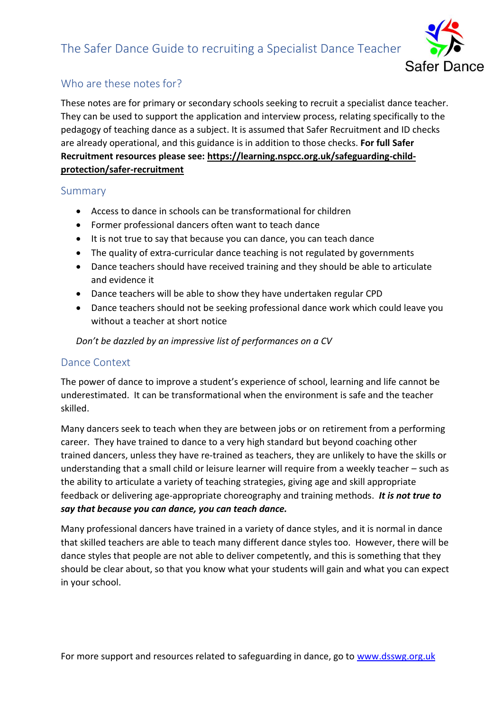# The Safer Dance Guide to recruiting a Specialist Dance Teacher



#### Who are these notes for?

These notes are for primary or secondary schools seeking to recruit a specialist dance teacher. They can be used to support the application and interview process, relating specifically to the pedagogy of teaching dance as a subject. It is assumed that Safer Recruitment and ID checks are already operational, and this guidance is in addition to those checks. **For full Safer Recruitment resources please see: [https://learning.nspcc.org.uk/safeguarding-child](https://learning.nspcc.org.uk/safeguarding-child-protection/safer-recruitment)[protection/safer-recruitment](https://learning.nspcc.org.uk/safeguarding-child-protection/safer-recruitment)**

#### Summary

- Access to dance in schools can be transformational for children
- Former professional dancers often want to teach dance
- It is not true to say that because you can dance, you can teach dance
- The quality of extra-curricular dance teaching is not regulated by governments
- Dance teachers should have received training and they should be able to articulate and evidence it
- Dance teachers will be able to show they have undertaken regular CPD
- Dance teachers should not be seeking professional dance work which could leave you without a teacher at short notice

*Don't be dazzled by an impressive list of performances on a CV*

#### Dance Context

The power of dance to improve a student's experience of school, learning and life cannot be underestimated. It can be transformational when the environment is safe and the teacher skilled.

Many dancers seek to teach when they are between jobs or on retirement from a performing career. They have trained to dance to a very high standard but beyond coaching other trained dancers, unless they have re-trained as teachers, they are unlikely to have the skills or understanding that a small child or leisure learner will require from a weekly teacher – such as the ability to articulate a variety of teaching strategies, giving age and skill appropriate feedback or delivering age-appropriate choreography and training methods. *It is not true to say that because you can dance, you can teach dance.* 

Many professional dancers have trained in a variety of dance styles, and it is normal in dance that skilled teachers are able to teach many different dance styles too. However, there will be dance styles that people are not able to deliver competently, and this is something that they should be clear about, so that you know what your students will gain and what you can expect in your school.